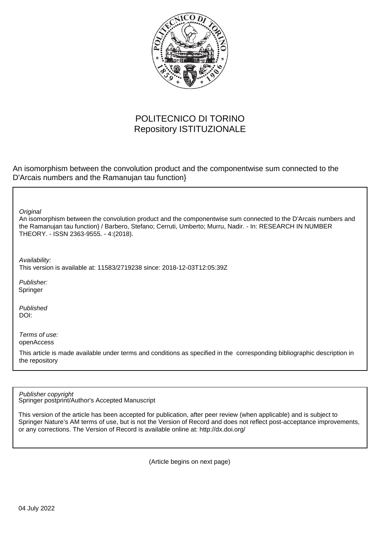

## POLITECNICO DI TORINO Repository ISTITUZIONALE

An isomorphism between the convolution product and the componentwise sum connected to the D'Arcais numbers and the Ramanujan tau function}

**Original** 

An isomorphism between the convolution product and the componentwise sum connected to the D'Arcais numbers and the Ramanujan tau function} / Barbero, Stefano; Cerruti, Umberto; Murru, Nadir. - In: RESEARCH IN NUMBER THEORY. - ISSN 2363-9555. - 4:(2018).

Availability:

This version is available at: 11583/2719238 since: 2018-12-03T12:05:39Z

Publisher: Springer

Published DOI:

Terms of use: openAccess

This article is made available under terms and conditions as specified in the corresponding bibliographic description in the repository

Publisher copyright

Springer postprint/Author's Accepted Manuscript

This version of the article has been accepted for publication, after peer review (when applicable) and is subject to Springer Nature's AM terms of use, but is not the Version of Record and does not reflect post-acceptance improvements, or any corrections. The Version of Record is available online at: http://dx.doi.org/

(Article begins on next page)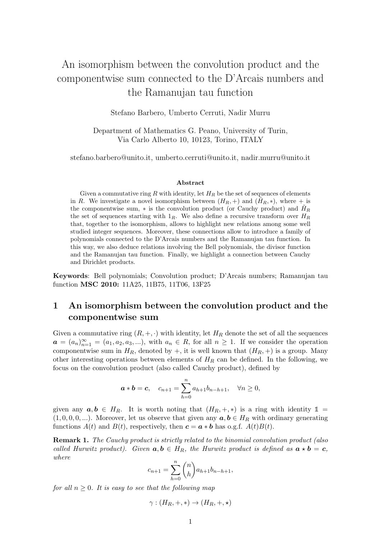# An isomorphism between the convolution product and the componentwise sum connected to the D'Arcais numbers and the Ramanujan tau function

Stefano Barbero, Umberto Cerruti, Nadir Murru

Department of Mathematics G. Peano, University of Turin, Via Carlo Alberto 10, 10123, Torino, ITALY

stefano.barbero@unito.it, umberto.cerruti@unito.it, nadir.murru@unito.it

#### Abstract

Given a commutative ring R with identity, let  $H_R$  be the set of sequences of elements in R. We investigate a novel isomorphism between  $(H_R, +)$  and  $(H_R, *)$ , where  $+$  is the componentwise sum,  $*$  is the convolution product (or Cauchy product) and  $\tilde{H}_R$ the set of sequences starting with  $1_R$ . We also define a recursive transform over  $H_R$ that, together to the isomorphism, allows to highlight new relations among some well studied integer sequences. Moreover, these connections allow to introduce a family of polynomials connected to the D'Arcais numbers and the Ramanujan tau function. In this way, we also deduce relations involving the Bell polynomials, the divisor function and the Ramanujan tau function. Finally, we highlight a connection between Cauchy and Dirichlet products.

Keywords: Bell polynomials; Convolution product; D'Arcais numbers; Ramanujan tau function MSC 2010: 11A25, 11B75, 11T06, 13F25

### 1 An isomorphism between the convolution product and the componentwise sum

Given a commutative ring  $(R, +, \cdot )$  with identity, let  $H_R$  denote the set of all the sequences  $\mathbf{a}=(a_n)_{n=1}^{\infty }=(a_1,a_2,a_3,...),$  with  $a_n\in R ,$  for all  $n \geq 1$ . If we consider the operation componentwise sum in  $H_R$ , denoted by  $+$ , it is well known that  $(H_R, +)$  is a group. Many other interesting operations between elements of  $H_R$  can be defined. In the following, we focus on the convolution product (also called Cauchy product), defined by

$$
a * b = c
$$
,  $c_{n+1} = \sum_{h=0}^{n} a_{h+1} b_{n-h+1}$ ,  $\forall n \ge 0$ ,

given any  $\boldsymbol{a}, \boldsymbol{b} \in H_R$ . It is worth noting that  $(H_R, +, *)$  is a ring with identity  $1 =$  $(1, 0, 0, 0, ...)$ . Moreover, let us observe that given any  $\boldsymbol{a}, \boldsymbol{b} \in H_R$  with ordinary generating functions  $A(t)$  and  $B(t)$ , respectively, then  $\boldsymbol{c} = \boldsymbol{a} * \boldsymbol{b}$  has o.g.f.  $A(t)B(t)$ .

**Remark 1.** The Cauchy product is strictly related to the binomial convolution product (also called Hurwitz product). Given  $\mathbf{a}, \mathbf{b} \in H_R$ , the Hurwitz product is defined as  $\mathbf{a} \star \mathbf{b} = {\bf c}$ , where

$$
c_{n+1} = \sum_{h=0}^{n} {n \choose h} a_{h+1} b_{n-h+1},
$$

for all  $n \geq 0$ . It is easy to see that the following map

$$
\gamma : (H_R, +, *) \to (H_R, +, *)
$$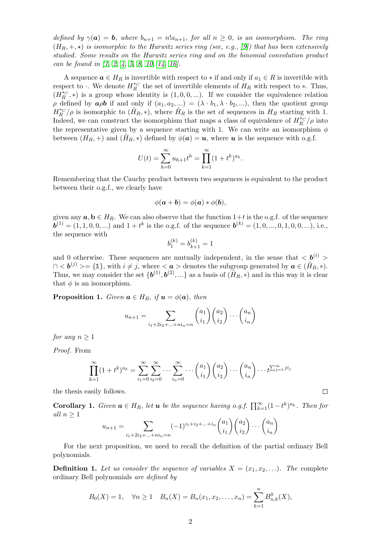defined by  $\gamma (\boldsymbol{a}) = \boldsymbol{b}$ , where  $b_{n+1} = n! a_{n+1}$ , for all  $n \geq 0$ , is an isomorphism. The ring  $(H_R, +,\star )$  is isomorphic to the Hurwitz series ring (see, e.g., [9]) that has been extensively studied. Some results on the Hurwitz series ring and on the binomial convolution product can be found in [1, 2, 4, 5, 8, 10, 14, 16].

A sequence  $\boldsymbol{a} \in H_R$  is invertible with respect to  $*$  if and only if  $a_1 \in R$  is invertible with respect to  $\cdot$ . We denote  $H\kappa^*$  the set of invertible elements of  $H_R$  with respect to ∗. Thus,  $(H_{R}^{*C}, *)$  is a group whose identity is  $(1,0,0,...)$ . If we consider the equivalence relation  $\rho$  defined by  $\alpha \rho b$  if and only if  $(a_1, a_2, ...) = (\lambda \cdot b_1, \lambda \cdot b_2, ...)$ , then the quotient group  $H\llcorner R^{*c}/\rho$  is isomorphic to  $(H_R, *)$ , where  $H_R$  is the set of sequences in  $H_R$  starting with 1. Indeed, we can construct the isomorphism that maps a class of equivalence of  $H_R^{*c}/\rho$  into the representative given by a sequence starting with 1. We can write an isomorphism  $\phi$ between  $(H_R, +)$  and  $(H_R, *)$  defined by  $\phi (\mathbf{a}) = \mathbf{u}$ , where  $\mathbf{u}$  is the sequence with o.g.f.

$$
U(t) = \sum_{h=0}^{\infty} u_{h+1} t^h = \prod_{k=1}^{\infty} (1 + t^k)^{a_k}.
$$

Remembering that the Cauchy product between two sequences is equivalent to the product between their o.g.f., we clearly have

$$
\phi(\mathbf{a} + \mathbf{b}) = \phi(\mathbf{a}) * \phi(\mathbf{b}),
$$

given any  $\mathbf{a}, \mathbf{b} \in H_R$ . We can also observe that the function  $1 + t$  is the o.g.f. of the sequence  $\mathbf{b}^{(1)} = (1,1,0,0,...)$  and  $1 + t^k$  is the o.g.f. of the sequence  $\mathbf{b}^{(k)} = (1,0,...,0,1,0,0,...)$ , i.e., the sequence with

$$
b_1^{(k)} = b_{k+1}^{(k)} = 1
$$

and 0 otherwise. These sequences are mutually independent, in the sense that  $\langle {\bf b}^{(i)} \rangle$  $0 < \mathbf{b}^{(j)} \geq \{1\}$ , with  $i \neq j$ , where  $\langle \mathbf{a} \rangle$  denotes the subgroup generated by  $\mathbf{a} \in (\tilde H_R, *).$ Thus, we may consider the set  $\{ \boldsymbol{b}^{(1)}, \boldsymbol{b}^{(2)}, ...\}$  as a basis of  $(\tilde H_R, *)$  and in this way it is clear that  $\phi$  is an isomorphism.

**Proposition 1.** Given  $\boldsymbol{a} \in H_R$ , if  $\boldsymbol{u} = \phi (\boldsymbol{a})$ , then

$$
u_{n+1} = \sum_{i_1 + 2i_2 + \dots + ni_n = n} {a_1 \choose i_1} {a_2 \choose i_2} \cdots {a_n \choose i_n}
$$

for any  $n \geq 1$ 

Proof. From

$$
\prod_{k=1}^{\infty} (1+t^k)^{a_k} = \sum_{i_1=0}^{\infty} \sum_{i_2=0}^{\infty} \cdots \sum_{i_n=0}^{\infty} \cdots {a_1 \choose i_1} {a_2 \choose i_2} \cdots {a_n \choose i_n} \cdots t^{\sum_{j=1}^{\infty} j i_j}
$$

the thesis easily follows.

**Corollary 1.** Given  $\boldsymbol{a} \in H_R$ , let  $\boldsymbol{u}$  be the sequence having o.g.f.  $\prod_{k=1}^{\infty} (1-t^k)^{a_k}$ . Then for all  $n\geq 1$ 

$$
u_{n+1} = \sum_{i_1 + 2i_2 + \dots + ni_n = n} (-1)^{i_1 + i_2 + \dots + i_n} {a_1 \choose i_1} {a_2 \choose i_2} \dots {a_n \choose i_n}
$$

For the next proposition, we need to recall the definition of the partial ordinary Bell polynomials.

**Definition 1.** Let us consider the sequence of variables  $X=(x_1,x_2,\ldots )$ . The complete ordinary Bell polynomials are defined by

$$
B_0(X) = 1
$$
,  $\forall n \ge 1$   $B_n(X) = B_n(x_1, x_2, ..., x_n) = \sum_{k=1}^n B_{n,k}^0(X)$ ,

```
\Box
```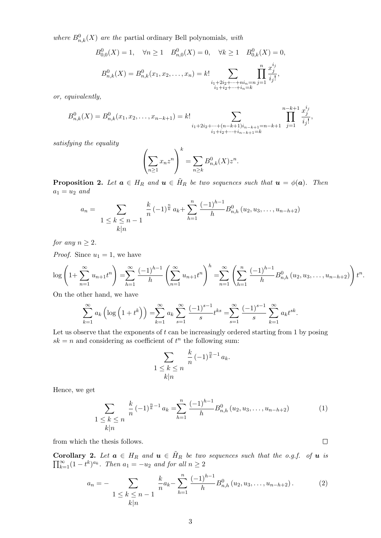where  $B_{n,k}^0(X)$  are the partial ordinary Bell polynomials, with

$$
B_{0,0}^{0}(X) = 1, \quad \forall n \ge 1 \quad B_{n,0}^{0}(X) = 0, \quad \forall k \ge 1 \quad B_{0,k}^{0}(X) = 0,
$$

$$
B_{n,k}^{0}(X) = B_{n,k}^{0}(x_1, x_2, \dots, x_n) = k! \sum_{\substack{i_1 + 2i_2 + \dots + ni_n = n \\ i_1 + i_2 + \dots + i_n = k}} \prod_{j=1}^{n} \frac{x_j^{i_j}}{i_j!},
$$

or, equivalently,

$$
B_{n,k}^0(X) = B_{n,k}^0(x_1, x_2, \dots, x_{n-k+1}) = k! \sum_{\substack{i_1 + 2i_2 + \dots + (n-k+1)i_{n-k+1} = n-k+1 \\ i_1 + i_2 + \dots + i_{n-k+1} = k}} \prod_{j=1}^{n-k+1} \frac{x_j^{i_j}}{i_j!},
$$

satisfying the equality

$$
\left(\sum_{n\geq 1}x_nz^n\right)^k=\sum_{n\geq k}B_{n,k}^0(X)z^n.
$$

**Proposition 2.** Let  $\mathbf{a} \in H_R$  and  $\mathbf{u} \in H_R$  be two sequences such that  $\mathbf{u} = \phi (\mathbf{a})$ . Then  $a_1=u_2$  and

$$
a_n = \sum_{\substack{1 \leq k \leq n-1}} \frac{k}{n} (-1)^{\frac{n}{k}} a_k + \sum_{h=1}^n \frac{(-1)^{h-1}}{h} B_{n,h}^0 (u_2, u_3, \dots, u_{n-h+2})
$$

for any  $n \geq 2$ .

*Proof.* Since  $u_1 = 1$ , we have

$$
\log\left(1+\sum_{n=1}^{\infty}u_{n+1}t^{n}\right)=\sum_{h=1}^{\infty}\frac{(-1)^{h-1}}{h}\left(\sum_{n=1}^{\infty}u_{n+1}t^{n}\right)^{h}=\sum_{n=1}^{\infty}\left(\sum_{h=1}^{n}\frac{(-1)^{h-1}}{h}B_{n,h}^{0}\left(u_{2},u_{3},\ldots,u_{n-h+2}\right)\right)t^{n}.
$$

On the other hand, we have

$$
\sum_{k=1}^{\infty} a_k \left( \log \left( 1 + t^k \right) \right) = \sum_{k=1}^{\infty} a_k \sum_{s=1}^{\infty} \frac{(-1)^{s-1}}{s} t^{ks} = \sum_{s=1}^{\infty} \frac{(-1)^{s-1}}{s} \sum_{k=1}^{\infty} a_k t^{sk}.
$$

Let us observe that the exponents of  $t$  can be increasingly ordered starting from 1 by posing  $sk = n$  and considering as coefficient of  $t^n$  the following sum:

$$
\sum_{\substack{1 \leq k \leq n \\ k \mid n}} \frac{k}{n} (-1)^{\frac{n}{k}-1} a_k.
$$

Hence, we get

$$
\sum_{\substack{1 \le k \le n}} \frac{k}{n} (-1)^{\frac{n}{k}-1} a_k = \sum_{h=1}^n \frac{(-1)^{h-1}}{h} B_{n,h}^0(u_2, u_3, \dots, u_{n-h+2}) \tag{1}
$$
\n
$$
k|n
$$

 $\Box$ 

from which the thesis follows.

**Corollary 2.** Let  $\mathbf{a} \in H_R$  and  $\mathbf{u} \in H_R$  be two sequences such that the o.g.f. of  $\mathbf{u}$  is  $\ddot{\phantom{}}$ . Then  $a_1=-u_2$  and for all n

$$
a_n = -\sum_{\substack{1 \le k \le n-1}} \frac{k}{n} a_k - \sum_{h=1}^n \frac{(-1)^{h-1}}{h} B_{n,h}^0(u_2, u_3, \dots, u_{n-h+2}). \tag{2}
$$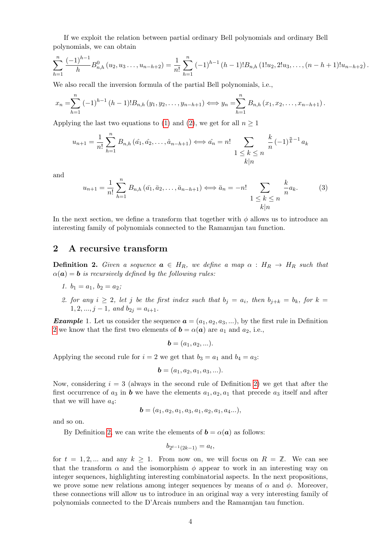If we exploit the relation between partial ordinary Bell polynomials and ordinary Bell polynomials, we can obtain

$$
\sum_{h=1}^{n} \frac{(-1)^{h-1}}{h} B_{n,h}^{0}(u_2, u_3 \ldots, u_{n-h+2}) = \frac{1}{n!} \sum_{h=1}^{n} (-1)^{h-1} (h-1)! B_{n,h} (1!u_2, 2!u_3, \ldots, (n-h+1)!u_{n-h+2})
$$

We also recall the inversion formula of the partial Bell polynomials, i.e.,

$$
x_n = \sum_{h=1}^n (-1)^{h-1} (h-1)! B_{n,h} (y_1, y_2, \dots, y_{n-h+1}) \Longleftrightarrow y_n = \sum_{h=1}^n B_{n,h} (x_1, x_2, \dots, x_{n-h+1}).
$$

Applying the last two equations to (1) and (2), we get for all  $n\geq 1$ 

$$
u_{n+1} = \frac{1}{n!} \sum_{h=1}^{n} B_{n,h} (\hat{a}_1, \hat{a}_2, \dots, \hat{a}_{n-h+1}) \iff \hat{a}_n = n! \sum_{\substack{1 \le k \le n}} \frac{k}{n} (-1)^{\frac{n}{k}-1} a_k
$$

and

$$
u_{n+1} = \frac{1}{n!} \sum_{h=1}^{n} B_{n,h} (\bar{a}_1, \bar{a}_2, \dots, \bar{a}_{n-h+1}) \iff \bar{a}_n = -n! \sum_{\substack{1 \le k \le n \\ k|n}} \frac{k}{n} a_k.
$$
 (3)

In the next section, we define a transform that together with  $\phi$  allows us to introduce an interesting family of polynomials connected to the Ramanujan tau function.

#### 2 A recursive transform

**Definition 2.** Given a sequence  $\mathbf{a} \in H_R$ , we define a map  $\alpha : H_R \rightarrow H_R$  such that  $\alpha (\boldsymbol{a}) = \boldsymbol{b}$  is recursively defined by the following rules:

- 1.  $b_1 = a_1, b_2 = a_2 ;$
- 2. for any  $i \geq 2$ , let j be the first index such that  $b_j = a_i$ , then  $b_{j+k} = b_k$ , for  $k=1,2,3$ .  $1, 2, ..., j-1, \text{ and } b_{2j} = a_{i+1}$ .

**Example** 1. Let us consider the sequence  $\boldsymbol{a} = (a_1, a_2, a_3, ...)$ , by the first rule in Definition 2 we know that the first two elements of  $\boldsymbol{b} = \alpha (\boldsymbol{a})$  are  $a_1$  and  $a_2$ , i.e.,

$$
\mathbf{b}=(a_1,a_2,...).
$$

Applying the second rule for  $i = 2$  we get that  $b_3 = a_1$  and  $b_4 = a_3$ :

$$
\mathbf{b} = (a_1, a_2, a_1, a_3, \ldots).
$$

Now, considering  $i = 3$  (always in the second rule of Definition 2) we get that after the first occurrence of  $a_3$  in **b** we have the elements  $a_1, a_2, a_1$  that precede  $a_3$  itself and after that we will have  $a_4$ :

$$
\mathbf{b} = (a_1, a_2, a_1, a_3, a_1, a_2, a_1, a_4...),
$$

and so on.

By Definition 2, we can write the elements of  $\boldsymbol{b} = \alpha (\boldsymbol{a})$  as follows:

$$
b_{2^{t-1}(2k-1)} = a_t,
$$

for  $t = 1, 2, ...$  and any  $k \geq 1$ . From now on, we will focus on  $R = \mathbb{Z}$ . We can see that the transform  $\alpha$  and the isomorphism  $\phi$  appear to work in an interesting way on integer sequences, highlighting interesting combinatorial aspects. In the next propositions, we prove some new relations among integer sequences by means of  $\alpha$  and  $\phi$ . Moreover, these connections will allow us to introduce in an original way a very interesting family of polynomials connected to the D'Arcais numbers and the Ramanujan tau function.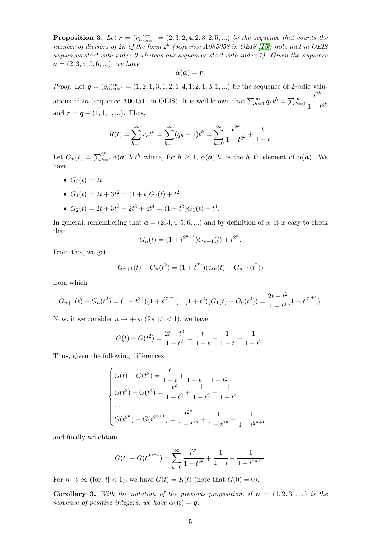**Proposition 3.** Let  $\mathbf{r} = (r_n)_{n=1}^{\infty } = (2, 3, 2, 4, 2, 3, 2, 5, ...)$  be the sequence that counts the number of divisors of  $2n$  of the form  $2^k$  (sequence A085058 in OEIS [15]; note that in OEIS sequences start with index 0 whereas our sequences start with index 1). Given the sequence  $\mathbf{a}=(2, 3, 4, 5, 6, \ldots)$ , we have

$$
\alpha(\boldsymbol{a})=\boldsymbol{r}.
$$

*Proof.* Let  $\mathbf{q} = (q_n)\}_{n=1}^{\infty } = (1, 2, 1, 3, 1, 2, 1, 4, 1, 2, 1, 3, 1, ...)$  be the sequence of 2–adic valuations of 2n (sequence A001511 in OEIS). It is well known that  $\sum_{h=1}^{\infty} q_h t^{h}=\sum_{k=0}^{\infty} \frac {t^{2^k}}{1 - t^{2^k}}$ and  $\boldsymbol{r} = {\boldsymbol q} + (1, 1, 1, \ldots)$ . Thus,

$$
R(t) = \sum_{h=1}^{\infty} r_h t^h = \sum_{h=1}^{\infty} (q_h + 1) t^h = \sum_{k=0}^{\infty} \frac{t^{2^k}}{1 - t^{2^k}} + \frac{t}{1 - t}
$$

Let  $G_n(t)=\sum _{h=1}^{2^n} \alpha (\boldsymbol {a})[h]t^h$  where, for  $h\geq 1$ ,  $\alpha (\boldsymbol {a})[h]$  is the h–th element of  $\alpha (\boldsymbol {a})$ . We have

•  $G_0(t) = 2t$ 

• 
$$
G_1(t) = 2t + 3t^2 = (1+t)G_0(t) + t^2
$$

•  $G_2(t) = 2t + 3t^2 + 2t^3 + 4t^4 = (1 + t^2) G_1(t) + t^4$ .

In general, remembering that  $\boldsymbol{a}=(2, 3, 4, 5, 6, ...)$  and by definition of  $\alpha$ , it is easy to check that

$$
G_n(t) = (1 + t^{2^{n-1}})G_{n-1}(t) + t^{2^n}.
$$

From this, we get

$$
G_{n+1}(t) - G_n(t^2) = (1 + t^{2^n})(G_n(t) - G_{n-1}(t^2))
$$

from which

$$
G_{n+1}(t) - G_n(t^2) = (1+t^{2^n})(1+t^{2^{n-1}})...(1+t^2)(G_1(t) - G_0(t^2)) = \frac{2t+t^2}{1-t^2}(1-t^{2^{n+1}}).
$$

Now, if we consider  $n \rightarrow + \infty$  (for  $\vert t \vert \langle 1 \rangle$ ), we have

$$
G(t) - G(t^2) = \frac{2t + t^2}{1 - t^2} = \frac{t}{1 - t} + \frac{1}{1 - t} - \frac{1}{1 - t^2}.
$$

Thus, given the following differences

$$
\begin{cases}\nG(t) - G(t^2) = \frac{t}{1 - t} + \frac{1}{1 - t} - \frac{1}{1 - t^2} \\
G(t^2) - G(t^4) = \frac{t^2}{1 - t^2} + \frac{1}{1 - t^2} - \frac{1}{1 - t^4} \\
\cdots \\
G(t^{2^n}) - G(t^{2^{n+1}}) = \frac{t^{2^n}}{1 - t^{2^n}} + \frac{1}{1 - t^{2^n}} - \frac{1}{1 - t^{2^{n+1}}}\n\end{cases}
$$

and finally we obtain

$$
G(t) - G(t^{2^{n+1}}) = \sum_{k=0}^{\infty} \frac{t^{2^k}}{1 - t^{2^k}} + \frac{1}{1 - t} - \frac{1}{1 - t^{2^{n+1}}}.
$$

 $\Box$ 

For  $n \rightarrow \infty$  (for  $|t| < 1$ ), we have  $G(t) = R(t)$  (note that  $G(0) = 0$ ).

**Corollary 3.** With the notation of the previous proposition, if  $\boldsymbol{n}=(1,2,3,\dots)$  is the sequence of positive integers, we have  $\alpha (\boldsymbol {n}) = \boldsymbol {q}$ .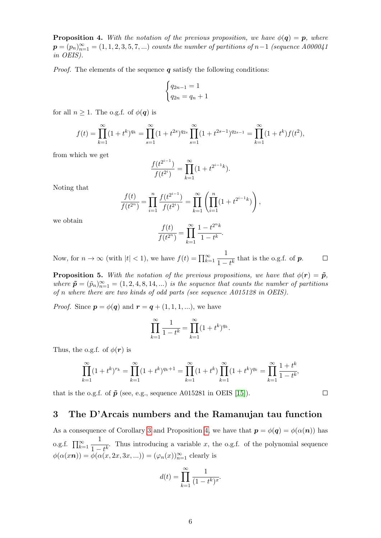**Proposition 4.** With the notation of the previous proposition, we have  $\phi (\boldsymbol{q}) = \boldsymbol{p}$ , where  $\mathbf{p} = (p_n)\}_{n=1}^{\infty } = (1, 1, 2, 3, 5, 7, ...)$  counts the number of partitions of n - 1 (sequence A000041 in OEIS).

*Proof.* The elements of the sequence  $\boldsymbol{q}$  satisfy the following conditions:

$$
\begin{cases} q_{2n-1} = 1\\ q_{2n} = q_n + 1 \end{cases}
$$

for all  $n \geq 1$ . The o.g.f. of  $\phi (\boldsymbol{q})$  is

$$
f(t) = \prod_{k=1}^{\infty} (1+t^k)^{q_k} = \prod_{s=1}^{\infty} (1+t^{2s})^{q_{2s}} \prod_{s=1}^{\infty} (1+t^{2s-1})^{q_{2s-1}} = \prod_{k=1}^{\infty} (1+t^k) f(t^2),
$$

from which we get

$$
\frac{f(t^{2^{i-1}})}{f(t^{2^i})} = \prod_{k=1}^{\infty} (1 + t^{2^{i-1}k}).
$$

Noting that

$$
\frac{f(t)}{f(t^{2^n})} = \prod_{i=1}^n \frac{f(t^{2^{i-1}})}{f(t^{2^i})} = \prod_{k=1}^\infty \left( \prod_{i=1}^n (1 + t^{2^{i-1}k}) \right),
$$

we obtain

$$
\frac{f(t)}{f(t^{2^n})} = \prod_{k=1}^{\infty} \frac{1 - t^{2^n k}}{1 - t^k}.
$$

Now, for  $n \rightarrow \infty$  (with  $|t| < 1$ ), we have  $f(t) = \prod_{k=1}^{\infty} \frac {1}{1-t^k}$  that is the o.g.f. of  $\boldsymbol p$ .  $\Box$ 

**Proposition 5.** With the notation of the previous propositions, we have that  $\phi (\mathbf{r}) = \tilde{\boldsymbol{p}}$ , where  $\tilde {\bf p} = (\tilde p_n)_{n=1}^{\infty } = (1, 2, 4, 8, 14, ...)$  is the sequence that counts the number of partitions of n where there are two kinds of odd parts (see sequence A015128 in OEIS).

*Proof.* Since  $\boldsymbol{p} = \phi (\boldsymbol{q})$  and  $\boldsymbol{r} = \boldsymbol{q} + (1, 1, 1, \ldots)$ , we have

$$
\prod_{k=1}^{\infty} \frac{1}{1 - t^k} = \prod_{k=1}^{\infty} (1 + t^k)^{q_k}
$$

Thus, the o.g.f. of  $\phi (\boldsymbol{r})$  is

$$
\prod_{k=1}^{\infty} (1+t^k)^{r_k} = \prod_{k=1}^{\infty} (1+t^k)^{q_k+1} = \prod_{k=1}^{\infty} (1+t^k) \prod_{k=1}^{\infty} (1+t^k)^{q_k} = \prod_{k=1}^{\infty} \frac{1+t^k}{1-t^k},
$$

that is the o.g.f. of  $\tilde {\bf p}$  (see, e.g., sequence A015281 in OEIS [15]).

#### 3 The D'Arcais numbers and the Ramanujan tau function

As a consequence of Corollary 3 and Proposition 4, we have that  $\boldsymbol{p}=\phi (\boldsymbol {q})=\phi (\alpha (\boldsymbol {n}))$  has o.g.f.  $\prod_{k=1}^{\infty} \frac{1}{1 - t^k}$ . Thus introducing a variable x, the o.g.f. of the polynomial sequence  $\phi (\alpha (x\boldsymbol {n}))=\phi (\alpha (x, 2x, 3x, ...)=(\varphi _{n}(x))\substack { \infty }{n=1}$  clearly is

$$
d(t) = \prod_{k=1}^{\infty} \frac{1}{(1 - t^k)^x}.
$$

 $\Box$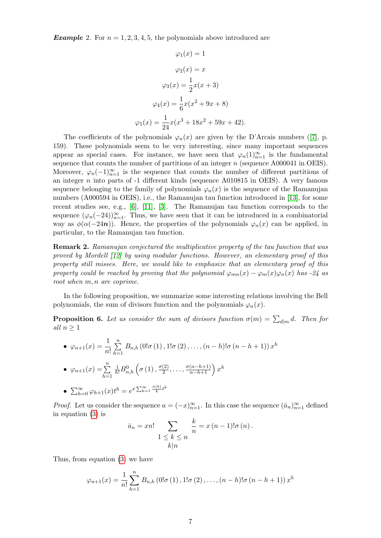**Example** 2. For  $n = 1, 2, 3, 4, 5$ , the polynomials above introduced are

$$
\varphi_1(x) = 1
$$

$$
\varphi_2(x) = x
$$

$$
\varphi_3(x) = \frac{1}{2}x(x+3)
$$

$$
\varphi_4(x) = \frac{1}{6}x(x^2 + 9x + 8)
$$

$$
\varphi_5(x) = \frac{1}{24}x(x^3 + 18x^2 + 59x + 42)
$$

The coefficients of the polynomials  $\varphi_n(x)$  are given by the D'Arcais numbers ([7], p. 159). These polynomials seem to be very interesting, since many important sequences appear as special cases. For instance, we have seen that  $\varphi_n(1)\substack {\infty \\ n=1}$  is the fundamental sequence that counts the number of partitions of an integer  $n$  (sequence A000041 in OEIS). Moreover,  $\varphi_n(-1)\substack {\infty \\ n=1}$  is the sequence that counts the number of different partitions of an integer  $n$  into parts of  $-1$  different kinds (sequence A010815 in OEIS). A very famous sequence belonging to the family of polynomials  $\varphi_n(x)$  is the sequence of the Ramanujan numbers (A000594 in OEIS), i.e., the Ramanujan tau function introduced in [13], for some recent studies see, e.g., [6], [11], [3]. The Ramanujan tau function corresponds to the sequence  $(\varphi_n(-24))_{n=1}^{\infty}$ . Thus, we have seen that it can be introduced in a combinatorial way as  $\phi (\alpha (-24\boldsymbol {n}))$ . Hence, the properties of the polynomials  $\varphi_n(x)$  can be applied, in particular, to the Ramanujan tau function.

**Remark 2.** Ramanujan conjectured the multiplicative property of the tau function that was proved by Mordell [12] by using modular functions. However, an elementary proof of this property still misses. Here, we would like to emphasize that an elementary proof of this property could be reached by proving that the polynomial  $\varphi_{mn}(x) - \varphi_m(x)\varphi_n(x)$  has -24 as root when m, n are coprime.

In the following proposition, we summarize some interesting relations involving the Bell polynomials, the sum of divisors function and the polynomials  $\varphi_n(x)$ .

**Proposition 6.** Let us consider the sum of divisors function  $\sigma (m) = \sum_{d|m}d$ . Then for all  $n\geq 1$ 

 $\bullet \varphi_{n+1}(x) = \frac {1}{n!} \sum_{k=1}^n B_{n,h}\left (0!\sigma \left (1\right ),1!\sigma \left (2\right ),\ldots ,\left (n-h\right )!\sigma \left (n-h+1\right )\right )x^{h}$  $\bullet \varphi_{n+1}(x) = \sum_{k=1}^{n} \frac {1}{h!}B_{n,h}^{0}\left ( \sigma \left ( 1\right ),\frac {\sigma (2)}{2},\ldots ,\frac {\sigma (n-h+1)}{n-h+1}\right )x^{h}$  $\sum_{h=0}^{\infty} \varphi_{h+1}(x) t^h = e^{x \sum_{k=1}^{\infty} \frac{\sigma(k)}{k} t^k}$  $\overline{h}$ 

*Proof.* Let us consider the sequence  $a = (-x)\big|_{n=1}^{\infty}$ . In this case the sequence  $(\bar a_n)_{n=1}^{\infty}$  defined in equation (3) is

$$
\bar{a}_n = xn! \sum_{\begin{array}{l}1 \leq k \leq n\\k \mid n\end{array}} \frac{k}{n} = x(n-1)!\sigma(n).
$$

Thus, from equation (3) we have

$$
\varphi_{n+1}(x) = \frac{1}{n!} \sum_{h=1}^{n} B_{n,h} (0 \text{!} \sigma(1), 1 \text{!} \sigma(2), \dots, (n-h) \text{!} \sigma(n-h+1)) x^{h}
$$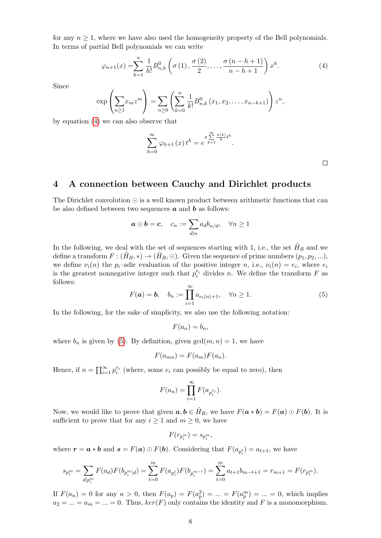for any  $n \geq 1$ , where we have also used the homogeneity property of the Bell polynomials. In terms of partial Bell polynomials we can write

$$
\varphi_{n+1}(x) = \sum_{h=1}^{n} \frac{1}{h!} B_{n,h}^0 \left( \sigma(1), \frac{\sigma(2)}{2}, \dots, \frac{\sigma(n-h+1)}{n-h+1} \right) x^h.
$$
 (4)

Since

$$
\exp\left(\sum_{n\geq 1}x_mz^m\right)=\sum_{n\geq 0}\left(\sum_{k=0}^n\frac{1}{k!}B_{n,k}^0(x_1,x_2,\ldots,x_{n-k+1})\right)z^n,
$$

by equation (4) we can also observe that

$$
\sum_{h=0}^{\infty} \varphi_{h+1}(x) t^h = e^{x \sum_{k=1}^{\infty} \frac{\sigma(k)}{k} t^k}.
$$

#### 4 A connection between Cauchy and Dirichlet products

The Dirichlet convolution  $\odot$  is a well known product between arithmetic functions that can be also defined between two sequences  $\boldsymbol{a}$  and  $\boldsymbol{b}$  as follows:

$$
\boldsymbol{a} \odot \boldsymbol{b} = \boldsymbol{c}, \quad c_n := \sum_{d|n} a_d b_{n/d}, \quad \forall n \ge 1
$$

In the following, we deal with the set of sequences starting with 1, i.e., the set  $\bar{H}_R$  and we define a transform  $F: (\tilde H_R, *) \rightarrow (\tilde H_R, \odot )$ . Given the sequence of prime numbers  $(p_1, p_2, ...),$ we define  $\nu_i(n)$  the p<sub>i</sub>-adic evaluation of the positive integer n, i.e.,  $\nu_i(n) = e_i$ , where  $e_i$ is the greatest nonnegative integer such that  $p_i^{e_i}$  divides n. We define the transform F as follows:

$$
F(\boldsymbol{a}) = \boldsymbol{b}, \quad b_n := \prod_{i=1}^{\infty} a_{\nu_i(n)+1}, \quad \forall n \ge 1.
$$
 (5)

In the following, for the sake of simplicity, we also use the following notation:

$$
F(a_n)=b_n,
$$

where  $b_n$  is given by (5). By definition, given  $\gcd(m,n) = 1$ , we have

$$
F(a_{mn}) = F(a_m)F(a_n).
$$

Hence, if  $n = \prod_{i=1}^{\infty} p_i^{e_i}$  (where, some  $e_i$  can possibly be equal to zero), then

$$
F(a_n) = \prod_{i=1}^{\infty} F(a_{p_i^{e_i}})
$$

Now, we would like to prove that given  $\boldsymbol{a}, \boldsymbol{b} \in \tilde{H}_R$ , we have  $F(\boldsymbol {a} * \boldsymbol {b}) = F(\boldsymbol {a})\odot F(\boldsymbol {b})$ . It is sufficient to prove that for any  $i \geq 1$  and  $m \geq 0$ , we have

$$
F(r_{p_i^m}) = s_{p_i^m},
$$

where  $\boldsymbol{r} = \boldsymbol{a} * \boldsymbol {b}$  and  $\boldsymbol {s} = F(\boldsymbol {a})\odot F(\boldsymbol {b})$ . Considering that  $F(a_{p_i^t}) = a_{t+1}$ , we have

$$
s_{p_i^m} = \sum_{d|p_i^m} F(a_d)F(b_{p_i^m|d}) = \sum_{t=0}^m F(a_{p_i^t})F(b_{p_i^{m-t}}) = \sum_{t=0}^m a_{t+1}b_{m-t+1} = r_{m+1} = F(r_{p_i^m}).
$$

If  $F(a_n) = 0$  for any  $n > 0$ , then  $F(a_p) = F(a_p^2) = ... = F(a_p^m) = ... = 0$ , which implies  $a_2 = ... = a_m = ... = 0$ . Thus,  $ker(F)$  only contains the identity and F is a monomorphism.